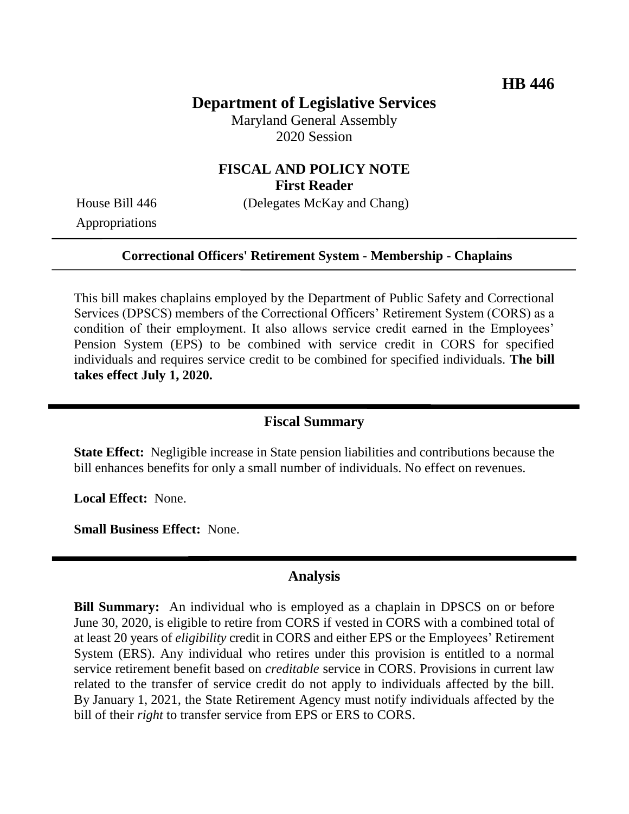# **Department of Legislative Services**

Maryland General Assembly 2020 Session

### **FISCAL AND POLICY NOTE First Reader**

House Bill 446 (Delegates McKay and Chang)

Appropriations

#### **Correctional Officers' Retirement System - Membership - Chaplains**

This bill makes chaplains employed by the Department of Public Safety and Correctional Services (DPSCS) members of the Correctional Officers' Retirement System (CORS) as a condition of their employment. It also allows service credit earned in the Employees' Pension System (EPS) to be combined with service credit in CORS for specified individuals and requires service credit to be combined for specified individuals. **The bill takes effect July 1, 2020.**

### **Fiscal Summary**

**State Effect:** Negligible increase in State pension liabilities and contributions because the bill enhances benefits for only a small number of individuals. No effect on revenues.

**Local Effect:** None.

**Small Business Effect:** None.

#### **Analysis**

**Bill Summary:** An individual who is employed as a chaplain in DPSCS on or before June 30, 2020, is eligible to retire from CORS if vested in CORS with a combined total of at least 20 years of *eligibility* credit in CORS and either EPS or the Employees' Retirement System (ERS). Any individual who retires under this provision is entitled to a normal service retirement benefit based on *creditable* service in CORS. Provisions in current law related to the transfer of service credit do not apply to individuals affected by the bill. By January 1, 2021, the State Retirement Agency must notify individuals affected by the bill of their *right* to transfer service from EPS or ERS to CORS.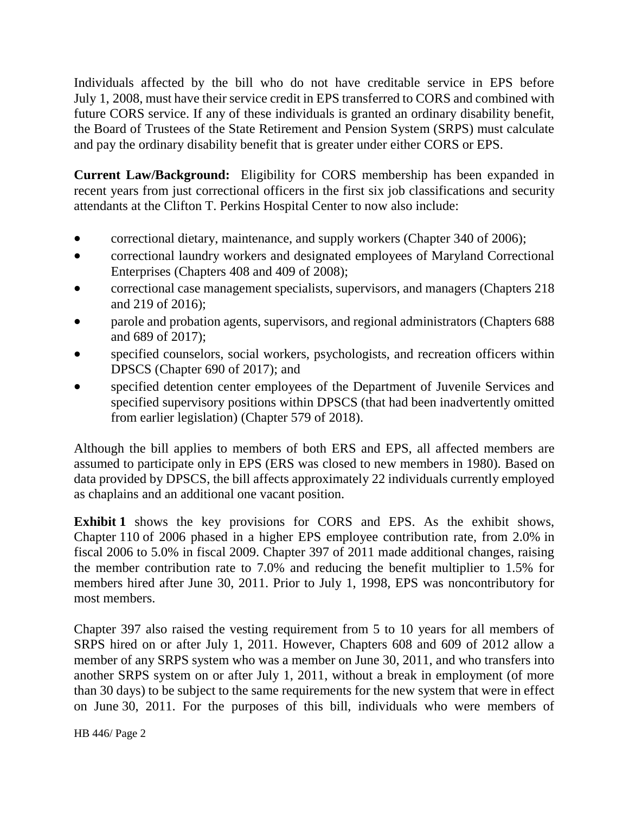Individuals affected by the bill who do not have creditable service in EPS before July 1, 2008, must have their service credit in EPS transferred to CORS and combined with future CORS service. If any of these individuals is granted an ordinary disability benefit, the Board of Trustees of the State Retirement and Pension System (SRPS) must calculate and pay the ordinary disability benefit that is greater under either CORS or EPS.

**Current Law/Background:** Eligibility for CORS membership has been expanded in recent years from just correctional officers in the first six job classifications and security attendants at the Clifton T. Perkins Hospital Center to now also include:

- correctional dietary, maintenance, and supply workers (Chapter 340 of 2006);
- correctional laundry workers and designated employees of Maryland Correctional Enterprises (Chapters 408 and 409 of 2008);
- correctional case management specialists, supervisors, and managers (Chapters 218 and 219 of 2016);
- parole and probation agents, supervisors, and regional administrators (Chapters 688 and 689 of 2017);
- specified counselors, social workers, psychologists, and recreation officers within DPSCS (Chapter 690 of 2017); and
- specified detention center employees of the Department of Juvenile Services and specified supervisory positions within DPSCS (that had been inadvertently omitted from earlier legislation) (Chapter 579 of 2018).

Although the bill applies to members of both ERS and EPS, all affected members are assumed to participate only in EPS (ERS was closed to new members in 1980). Based on data provided by DPSCS, the bill affects approximately 22 individuals currently employed as chaplains and an additional one vacant position.

**Exhibit 1** shows the key provisions for CORS and EPS. As the exhibit shows, Chapter 110 of 2006 phased in a higher EPS employee contribution rate, from 2.0% in fiscal 2006 to 5.0% in fiscal 2009. Chapter 397 of 2011 made additional changes, raising the member contribution rate to 7.0% and reducing the benefit multiplier to 1.5% for members hired after June 30, 2011. Prior to July 1, 1998, EPS was noncontributory for most members.

Chapter 397 also raised the vesting requirement from 5 to 10 years for all members of SRPS hired on or after July 1, 2011. However, Chapters 608 and 609 of 2012 allow a member of any SRPS system who was a member on June 30, 2011, and who transfers into another SRPS system on or after July 1, 2011, without a break in employment (of more than 30 days) to be subject to the same requirements for the new system that were in effect on June 30, 2011. For the purposes of this bill, individuals who were members of

HB 446/ Page 2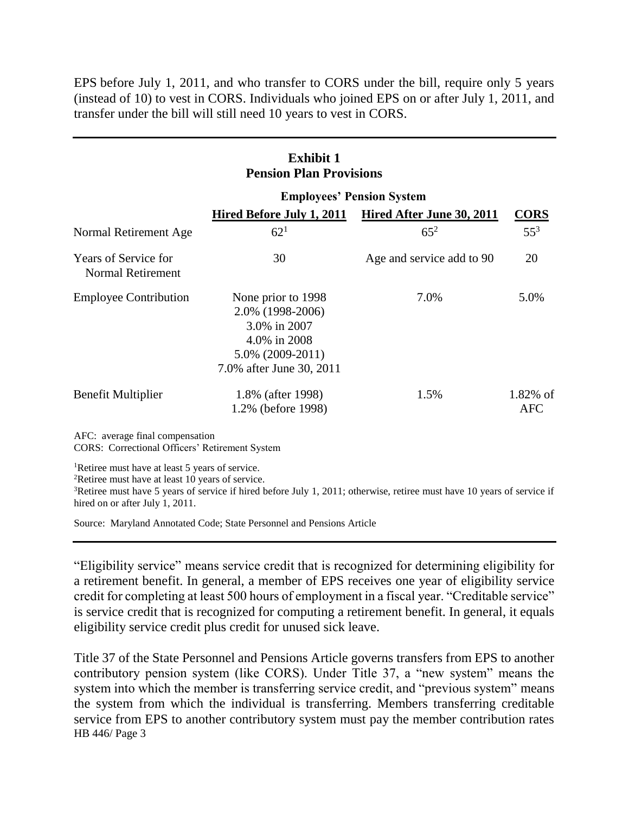EPS before July 1, 2011, and who transfer to CORS under the bill, require only 5 years (instead of 10) to vest in CORS. Individuals who joined EPS on or after July 1, 2011, and transfer under the bill will still need 10 years to vest in CORS.

| <b>Exhibit 1</b><br><b>Pension Plan Provisions</b>      |                                                                                                                           |                           |                           |
|---------------------------------------------------------|---------------------------------------------------------------------------------------------------------------------------|---------------------------|---------------------------|
|                                                         | <b>Employees' Pension System</b>                                                                                          |                           |                           |
|                                                         | Hired Before July 1, 2011                                                                                                 | Hired After June 30, 2011 | <b>CORS</b>               |
| Normal Retirement Age                                   | $62^{1}$                                                                                                                  | $65^{2}$                  | $55^3$                    |
| <b>Years of Service for</b><br><b>Normal Retirement</b> | 30                                                                                                                        | Age and service add to 90 | 20                        |
| <b>Employee Contribution</b>                            | None prior to 1998<br>2.0% (1998-2006)<br>3.0% in 2007<br>4.0% in 2008<br>$5.0\%$ (2009-2011)<br>7.0% after June 30, 2011 | 7.0%                      | 5.0%                      |
| Benefit Multiplier                                      | 1.8% (after 1998)<br>1.2% (before 1998)                                                                                   | 1.5%                      | $1.82\%$ of<br><b>AFC</b> |

AFC: average final compensation

CORS: Correctional Officers' Retirement System

<sup>1</sup>Retiree must have at least 5 years of service.

<sup>2</sup>Retiree must have at least 10 years of service.

<sup>3</sup>Retiree must have 5 years of service if hired before July 1, 2011; otherwise, retiree must have 10 years of service if hired on or after July 1, 2011.

Source: Maryland Annotated Code; State Personnel and Pensions Article

"Eligibility service" means service credit that is recognized for determining eligibility for a retirement benefit. In general, a member of EPS receives one year of eligibility service credit for completing at least 500 hours of employment in a fiscal year. "Creditable service" is service credit that is recognized for computing a retirement benefit. In general, it equals eligibility service credit plus credit for unused sick leave.

HB 446/ Page 3 Title 37 of the State Personnel and Pensions Article governs transfers from EPS to another contributory pension system (like CORS). Under Title 37, a "new system" means the system into which the member is transferring service credit, and "previous system" means the system from which the individual is transferring. Members transferring creditable service from EPS to another contributory system must pay the member contribution rates